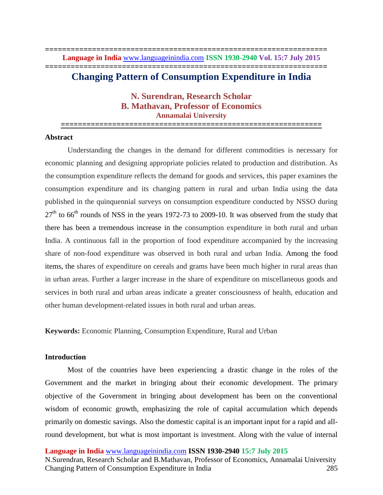**================================================================== Language in India** www.languageinindia.com **ISSN 1930-2940 Vol. 15:7 July 2015 ==================================================================**

# **Changing Pattern of Consumption Expenditure in India**

**N. Surendran, Research Scholar B. Mathavan, Professor of Economics Annamalai University**

**=============================================================**

# **Abstract**

Understanding the changes in the demand for different commodities is necessary for economic planning and designing appropriate policies related to production and distribution. As the consumption expenditure reflects the demand for goods and services, this paper examines the consumption expenditure and its changing pattern in rural and urban India using the data published in the quinquennial surveys on consumption expenditure conducted by NSSO during  $27<sup>th</sup>$  to 66<sup>th</sup> rounds of NSS in the years 1972-73 to 2009-10. It was observed from the study that there has been a tremendous increase in the consumption expenditure in both rural and urban India. A continuous fall in the proportion of food expenditure accompanied by the increasing share of non-food expenditure was observed in both rural and urban India. Among the food items, the shares of expenditure on cereals and grams have been much higher in rural areas than in urban areas. Further a larger increase in the share of expenditure on miscellaneous goods and services in both rural and urban areas indicate a greater consciousness of health, education and other human development-related issues in both rural and urban areas.

**Keywords:** Economic Planning, Consumption Expenditure, Rural and Urban

## **Introduction**

Most of the countries have been experiencing a drastic change in the roles of the Government and the market in bringing about their economic development. The primary objective of the Government in bringing about development has been on the conventional wisdom of economic growth, emphasizing the role of capital accumulation which depends primarily on domestic savings. Also the domestic capital is an important input for a rapid and allround development, but what is most important is investment. Along with the value of internal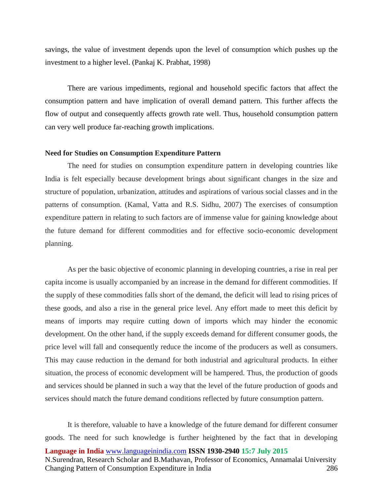savings, the value of investment depends upon the level of consumption which pushes up the investment to a higher level. (Pankaj K. Prabhat, 1998)

There are various impediments, regional and household specific factors that affect the consumption pattern and have implication of overall demand pattern. This further affects the flow of output and consequently affects growth rate well. Thus, household consumption pattern can very well produce far-reaching growth implications.

#### **Need for Studies on Consumption Expenditure Pattern**

The need for studies on consumption expenditure pattern in developing countries like India is felt especially because development brings about significant changes in the size and structure of population, urbanization, attitudes and aspirations of various social classes and in the patterns of consumption. (Kamal, Vatta and R.S. Sidhu, 2007) The exercises of consumption expenditure pattern in relating to such factors are of immense value for gaining knowledge about the future demand for different commodities and for effective socio-economic development planning.

As per the basic objective of economic planning in developing countries, a rise in real per capita income is usually accompanied by an increase in the demand for different commodities. If the supply of these commodities falls short of the demand, the deficit will lead to rising prices of these goods, and also a rise in the general price level. Any effort made to meet this deficit by means of imports may require cutting down of imports which may hinder the economic development. On the other hand, if the supply exceeds demand for different consumer goods, the price level will fall and consequently reduce the income of the producers as well as consumers. This may cause reduction in the demand for both industrial and agricultural products. In either situation, the process of economic development will be hampered. Thus, the production of goods and services should be planned in such a way that the level of the future production of goods and services should match the future demand conditions reflected by future consumption pattern.

**Language in India** www.languageinindia.com **ISSN 1930-2940 15:7 July 2015** N.Surendran, Research Scholar and B.Mathavan, Professor of Economics, Annamalai University Changing Pattern of Consumption Expenditure in India 286 It is therefore, valuable to have a knowledge of the future demand for different consumer goods. The need for such knowledge is further heightened by the fact that in developing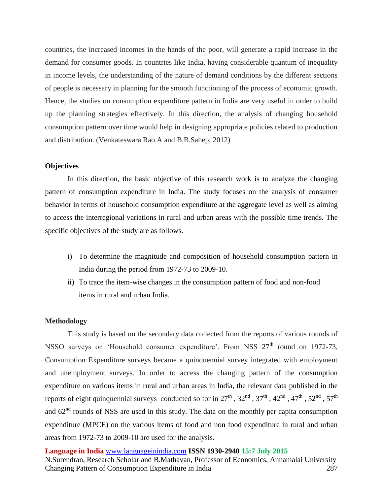countries, the increased incomes in the hands of the poor, will generate a rapid increase in the demand for consumer goods. In countries like India, having considerable quantum of inequality in income levels, the understanding of the nature of demand conditions by the different sections of people is necessary in planning for the smooth functioning of the process of economic growth. Hence, the studies on consumption expenditure pattern in India are very useful in order to build up the planning strategies effectively. In this direction, the analysis of changing household consumption pattern over time would help in designing appropriate policies related to production and distribution. (Venkateswara Rao.A and B.B.Sahep, 2012)

# **Objectives**

In this direction, the basic objective of this research work is to analyze the changing pattern of consumption expenditure in India. The study focuses on the analysis of consumer behavior in terms of household consumption expenditure at the aggregate level as well as aiming to access the interregional variations in rural and urban areas with the possible time trends. The specific objectives of the study are as follows.

- i) To determine the magnitude and composition of household consumption pattern in India during the period from 1972-73 to 2009-10.
- ii) To trace the item-wise changes in the consumption pattern of food and non-food items in rural and urban India.

### **Methodology**

This study is based on the secondary data collected from the reports of various rounds of NSSO surveys on 'Household consumer expenditure'. From NSS  $27<sup>th</sup>$  round on 1972-73, Consumption Expenditure surveys became a quinquennial survey integrated with employment and unemployment surveys. In order to access the changing pattern of the consumption expenditure on various items in rural and urban areas in India, the relevant data published in the reports of eight quinquennial surveys conducted so for in  $27^{\text{th}}$ ,  $32^{\text{nd}}$ ,  $37^{\text{th}}$ ,  $42^{\text{nd}}$ ,  $47^{\text{th}}$ ,  $52^{\text{nd}}$ ,  $57^{\text{th}}$ and  $62<sup>nd</sup>$  rounds of NSS are used in this study. The data on the monthly per capita consumption expenditure (MPCE) on the various items of food and non food expenditure in rural and urban areas from 1972-73 to 2009-10 are used for the analysis.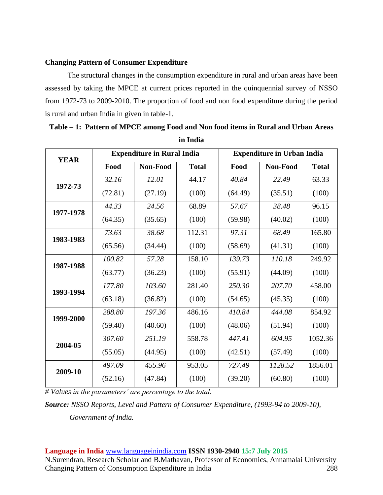# **Changing Pattern of Consumer Expenditure**

The structural changes in the consumption expenditure in rural and urban areas have been assessed by taking the MPCE at current prices reported in the quinquennial survey of NSSO from 1972-73 to 2009-2010. The proportion of food and non food expenditure during the period is rural and urban India in given in table-1.

| <b>YEAR</b> |         | <b>Expenditure in Rural India</b> |              | <b>Expenditure in Urban India</b> |          |              |  |  |
|-------------|---------|-----------------------------------|--------------|-----------------------------------|----------|--------------|--|--|
|             | Food    | Non-Food                          | <b>Total</b> | Food                              | Non-Food | <b>Total</b> |  |  |
| 1972-73     | 32.16   | 12.01                             | 44.17        | 40.84                             | 22.49    | 63.33        |  |  |
|             | (72.81) | (27.19)                           | (100)        | (64.49)                           | (35.51)  | (100)        |  |  |
| 1977-1978   | 44.33   | 24.56                             | 68.89        | 57.67                             | 38.48    | 96.15        |  |  |
|             | (64.35) | (35.65)                           | (100)        | (59.98)                           | (40.02)  | (100)        |  |  |
| 1983-1983   | 73.63   | 38.68                             | 112.31       | 97.31                             | 68.49    | 165.80       |  |  |
|             | (65.56) | (34.44)                           | (100)        | (58.69)                           | (41.31)  | (100)        |  |  |
| 1987-1988   | 100.82  | 57.28                             | 158.10       | 139.73                            | 110.18   | 249.92       |  |  |
|             | (63.77) | (36.23)                           | (100)        | (55.91)                           | (44.09)  | (100)        |  |  |
| 1993-1994   | 177.80  | 103.60                            | 281.40       | 250.30                            | 207.70   | 458.00       |  |  |
|             | (63.18) | (36.82)                           | (100)        | (54.65)                           | (45.35)  | (100)        |  |  |
| 1999-2000   | 288.80  | 197.36                            | 486.16       | 410.84                            | 444.08   | 854.92       |  |  |
|             | (59.40) | (40.60)                           | (100)        | (48.06)                           | (51.94)  | (100)        |  |  |
| 2004-05     | 307.60  | 251.19                            | 558.78       | 447.41                            | 604.95   | 1052.36      |  |  |
|             | (55.05) | (44.95)                           | (100)        | (42.51)                           | (57.49)  | (100)        |  |  |
| 2009-10     | 497.09  | 455.96                            | 953.05       | 727.49                            | 1128.52  | 1856.01      |  |  |
|             | (52.16) | (47.84)                           | (100)        | (39.20)                           | (60.80)  | (100)        |  |  |

| Table – 1: Pattern of MPCE among Food and Non food items in Rural and Urban Areas |
|-----------------------------------------------------------------------------------|
| in India                                                                          |

*# Values in the parameters' are percentage to the total.* 

*Source: NSSO Reports, Level and Pattern of Consumer Expenditure, (1993-94 to 2009-10),* 

*Government of India.*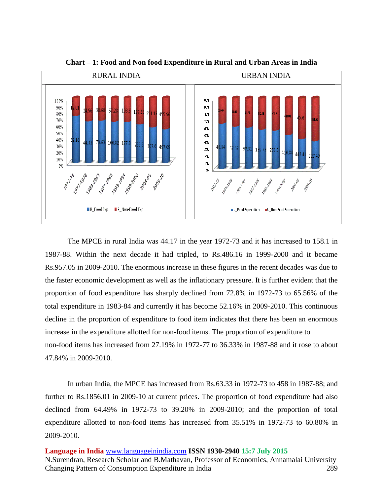

**Chart – 1: Food and Non food Expenditure in Rural and Urban Areas in India**

The MPCE in rural India was 44.17 in the year 1972-73 and it has increased to 158.1 in 1987-88. Within the next decade it had tripled, to Rs.486.16 in 1999-2000 and it became Rs.957.05 in 2009-2010. The enormous increase in these figures in the recent decades was due to the faster economic development as well as the inflationary pressure. It is further evident that the proportion of food expenditure has sharply declined from 72.8% in 1972-73 to 65.56% of the total expenditure in 1983-84 and currently it has become 52.16% in 2009-2010. This continuous decline in the proportion of expenditure to food item indicates that there has been an enormous increase in the expenditure allotted for non-food items. The proportion of expenditure to non-food items has increased from 27.19% in 1972-77 to 36.33% in 1987-88 and it rose to about 47.84% in 2009-2010.

In urban India, the MPCE has increased from Rs.63.33 in 1972-73 to 458 in 1987-88; and further to Rs.1856.01 in 2009-10 at current prices. The proportion of food expenditure had also declined from 64.49% in 1972-73 to 39.20% in 2009-2010; and the proportion of total expenditure allotted to non-food items has increased from 35.51% in 1972-73 to 60.80% in 2009-2010.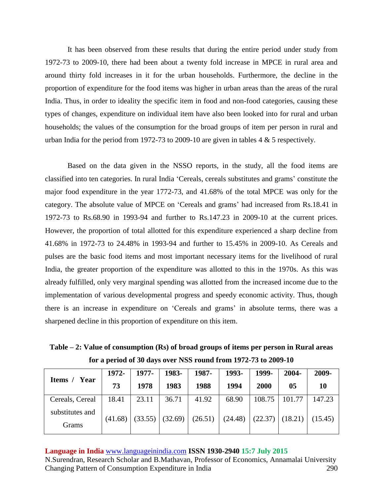It has been observed from these results that during the entire period under study from 1972-73 to 2009-10, there had been about a twenty fold increase in MPCE in rural area and around thirty fold increases in it for the urban households. Furthermore, the decline in the proportion of expenditure for the food items was higher in urban areas than the areas of the rural India. Thus, in order to ideality the specific item in food and non-food categories, causing these types of changes, expenditure on individual item have also been looked into for rural and urban households; the values of the consumption for the broad groups of item per person in rural and urban India for the period from 1972-73 to 2009-10 are given in tables 4 & 5 respectively.

Based on the data given in the NSSO reports, in the study, all the food items are classified into ten categories. In rural India 'Cereals, cereals substitutes and grams' constitute the major food expenditure in the year 1772-73, and 41.68% of the total MPCE was only for the category. The absolute value of MPCE on 'Cereals and grams' had increased from Rs.18.41 in 1972-73 to Rs.68.90 in 1993-94 and further to Rs.147.23 in 2009-10 at the current prices. However, the proportion of total allotted for this expenditure experienced a sharp decline from 41.68% in 1972-73 to 24.48% in 1993-94 and further to 15.45% in 2009-10. As Cereals and pulses are the basic food items and most important necessary items for the livelihood of rural India, the greater proportion of the expenditure was allotted to this in the 1970s. As this was already fulfilled, only very marginal spending was allotted from the increased income due to the implementation of various developmental progress and speedy economic activity. Thus, though there is an increase in expenditure on 'Cereals and grams' in absolute terms, there was a sharpened decline in this proportion of expenditure on this item.

**Table – 2: Value of consumption (Rs) of broad groups of items per person in Rural areas for a period of 30 days over NSS round from 1972-73 to 2009-10**

| Year<br>Items /          | 1972-   | 1977-   | 1983-   | 1987-   | 1993-   | 1999-  | 2004-             | 2009-   |
|--------------------------|---------|---------|---------|---------|---------|--------|-------------------|---------|
|                          | 73      | 1978    | 1983    | 1988    | 1994    | 2000   | 05                | 10      |
| Cereals, Cereal          | 18.41   | 23.11   | 36.71   | 41.92   | 68.90   | 108.75 | 101.77            | 147.23  |
| substitutes and<br>Grams | (41.68) | (33.55) | (32.69) | (26.51) | (24.48) |        | $(22.37)$ (18.21) | (15.45) |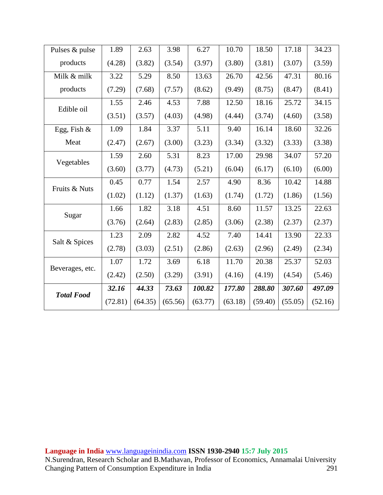| Pulses & pulse    | 1.89    | 2.63    | 3.98    | 6.27    | 10.70   | 18.50   | 17.18   | 34.23   |
|-------------------|---------|---------|---------|---------|---------|---------|---------|---------|
| products          | (4.28)  | (3.82)  | (3.54)  | (3.97)  | (3.80)  | (3.81)  | (3.07)  | (3.59)  |
| Milk & milk       | 3.22    | 5.29    | 8.50    | 13.63   | 26.70   | 42.56   | 47.31   | 80.16   |
| products          | (7.29)  | (7.68)  | (7.57)  | (8.62)  | (9.49)  | (8.75)  | (8.47)  | (8.41)  |
| Edible oil        | 1.55    | 2.46    | 4.53    | 7.88    | 12.50   | 18.16   | 25.72   | 34.15   |
|                   | (3.51)  | (3.57)  | (4.03)  | (4.98)  | (4.44)  | (3.74)  | (4.60)  | (3.58)  |
| Egg, Fish $\&$    | 1.09    | 1.84    | 3.37    | 5.11    | 9.40    | 16.14   | 18.60   | 32.26   |
| Meat              | (2.47)  | (2.67)  | (3.00)  | (3.23)  | (3.34)  | (3.32)  | (3.33)  | (3.38)  |
|                   | 1.59    | 2.60    | 5.31    | 8.23    | 17.00   | 29.98   | 34.07   | 57.20   |
| Vegetables        | (3.60)  | (3.77)  | (4.73)  | (5.21)  | (6.04)  | (6.17)  | (6.10)  | (6.00)  |
| Fruits & Nuts     | 0.45    | 0.77    | 1.54    | 2.57    | 4.90    | 8.36    | 10.42   | 14.88   |
|                   | (1.02)  | (1.12)  | (1.37)  | (1.63)  | (1.74)  | (1.72)  | (1.86)  | (1.56)  |
| Sugar             | 1.66    | 1.82    | 3.18    | 4.51    | 8.60    | 11.57   | 13.25   | 22.63   |
|                   | (3.76)  | (2.64)  | (2.83)  | (2.85)  | (3.06)  | (2.38)  | (2.37)  | (2.37)  |
| Salt & Spices     | 1.23    | 2.09    | 2.82    | 4.52    | 7.40    | 14.41   | 13.90   | 22.33   |
|                   | (2.78)  | (3.03)  | (2.51)  | (2.86)  | (2.63)  | (2.96)  | (2.49)  | (2.34)  |
|                   | 1.07    | 1.72    | 3.69    | 6.18    | 11.70   | 20.38   | 25.37   | 52.03   |
| Beverages, etc.   | (2.42)  | (2.50)  | (3.29)  | (3.91)  | (4.16)  | (4.19)  | (4.54)  | (5.46)  |
| <b>Total Food</b> | 32.16   | 44.33   | 73.63   | 100.82  | 177.80  | 288.80  | 307.60  | 497.09  |
|                   | (72.81) | (64.35) | (65.56) | (63.77) | (63.18) | (59.40) | (55.05) | (52.16) |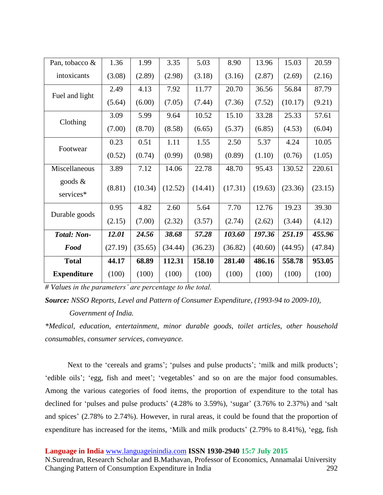| Pan, tobacco &          | 1.36    | 1.99    | 3.35    | 5.03    | 8.90    | 13.96   | 15.03   | 20.59   |
|-------------------------|---------|---------|---------|---------|---------|---------|---------|---------|
| intoxicants             | (3.08)  | (2.89)  | (2.98)  | (3.18)  | (3.16)  | (2.87)  | (2.69)  | (2.16)  |
|                         | 2.49    | 4.13    | 7.92    | 11.77   | 20.70   | 36.56   | 56.84   | 87.79   |
| Fuel and light          | (5.64)  | (6.00)  | (7.05)  | (7.44)  | (7.36)  | (7.52)  | (10.17) | (9.21)  |
| Clothing                | 3.09    | 5.99    | 9.64    | 10.52   | 15.10   | 33.28   | 25.33   | 57.61   |
|                         | (7.00)  | (8.70)  | (8.58)  | (6.65)  | (5.37)  | (6.85)  | (4.53)  | (6.04)  |
| Footwear                | 0.23    | 0.51    | 1.11    | 1.55    | 2.50    | 5.37    | 4.24    | 10.05   |
|                         | (0.52)  | (0.74)  | (0.99)  | (0.98)  | (0.89)  | (1.10)  | (0.76)  | (1.05)  |
| Miscellaneous           | 3.89    | 7.12    | 14.06   | 22.78   | 48.70   | 95.43   | 130.52  | 220.61  |
| goods $\&$<br>services* | (8.81)  | (10.34) | (12.52) | (14.41) | (17.31) | (19.63) | (23.36) | (23.15) |
| Durable goods           | 0.95    | 4.82    | 2.60    | 5.64    | 7.70    | 12.76   | 19.23   | 39.30   |
|                         | (2.15)  | (7.00)  | (2.32)  | (3.57)  | (2.74)  | (2.62)  | (3.44)  | (4.12)  |
| <b>Total: Non-</b>      | 12.01   | 24.56   | 38.68   | 57.28   | 103.60  | 197.36  | 251.19  | 455.96  |
| Food                    | (27.19) | (35.65) | (34.44) | (36.23) | (36.82) | (40.60) | (44.95) | (47.84) |
| <b>Total</b>            | 44.17   | 68.89   | 112.31  | 158.10  | 281.40  | 486.16  | 558.78  | 953.05  |
| <b>Expenditure</b>      | (100)   | (100)   | (100)   | (100)   | (100)   | (100)   | (100)   | (100)   |

*# Values in the parameters' are percentage to the total.* 

*\*Medical, education, entertainment, minor durable goods, toilet articles, other household consumables, consumer services, conveyance.* 

Next to the 'cereals and grams'; 'pulses and pulse products'; 'milk and milk products'; 'edible oils'; 'egg, fish and meet'; 'vegetables' and so on are the major food consumables. Among the various categories of food items, the proportion of expenditure to the total has declined for 'pulses and pulse products' (4.28% to 3.59%), 'sugar' (3.76% to 2.37%) and 'salt and spices' (2.78% to 2.74%). However, in rural areas, it could be found that the proportion of expenditure has increased for the items, 'Milk and milk products' (2.79% to 8.41%), 'egg, fish

**Language in India** www.languageinindia.com **ISSN 1930-2940 15:7 July 2015**

N.Surendran, Research Scholar and B.Mathavan, Professor of Economics, Annamalai University Changing Pattern of Consumption Expenditure in India 292

*Source: NSSO Reports, Level and Pattern of Consumer Expenditure, (1993-94 to 2009-10), Government of India.*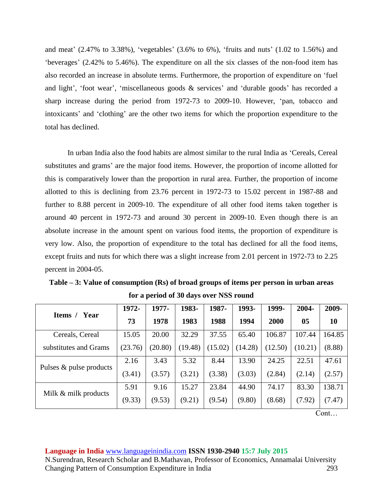and meat' (2.47% to 3.38%), 'vegetables' (3.6% to 6%), 'fruits and nuts' (1.02 to 1.56%) and 'beverages' (2.42% to 5.46%). The expenditure on all the six classes of the non-food item has also recorded an increase in absolute terms. Furthermore, the proportion of expenditure on 'fuel and light', 'foot wear', 'miscellaneous goods & services' and 'durable goods' has recorded a sharp increase during the period from 1972-73 to 2009-10. However, 'pan, tobacco and intoxicants' and 'clothing' are the other two items for which the proportion expenditure to the total has declined.

In urban India also the food habits are almost similar to the rural India as 'Cereals, Cereal substitutes and grams' are the major food items. However, the proportion of income allotted for this is comparatively lower than the proportion in rural area. Further, the proportion of income allotted to this is declining from 23.76 percent in 1972-73 to 15.02 percent in 1987-88 and further to 8.88 percent in 2009-10. The expenditure of all other food items taken together is around 40 percent in 1972-73 and around 30 percent in 2009-10. Even though there is an absolute increase in the amount spent on various food items, the proportion of expenditure is very low. Also, the proportion of expenditure to the total has declined for all the food items, except fruits and nuts for which there was a slight increase from 2.01 percent in 1972-73 to 2.25 percent in 2004-05.

| for a period of 30 days over NSS round |         |         |         |         |         |         |                |        |  |  |
|----------------------------------------|---------|---------|---------|---------|---------|---------|----------------|--------|--|--|
| Year                                   | 1972-   | 1977-   | 1983-   | 1987-   | 1993-   | 1999-   | 2004-          | 2009-  |  |  |
| Items /                                | 73      | 1978    | 1983    | 1988    | 1994    | 2000    | 0 <sub>5</sub> | 10     |  |  |
| Cereals, Cereal                        | 15.05   | 20.00   | 32.29   | 37.55   | 65.40   | 106.87  | 107.44         | 164.85 |  |  |
| substitutes and Grams                  | (23.76) | (20.80) | (19.48) | (15.02) | (14.28) | (12.50) | (10.21)        | (8.88) |  |  |
| Pulses & pulse products                | 2.16    | 3.43    | 5.32    | 8.44    | 13.90   | 24.25   | 22.51          | 47.61  |  |  |
|                                        | (3.41)  | (3.57)  | (3.21)  | (3.38)  | (3.03)  | (2.84)  | (2.14)         | (2.57) |  |  |
|                                        | 5.91    | 9.16    | 15.27   | 23.84   | 44.90   | 74.17   | 83.30          | 138.71 |  |  |
| Milk & milk products                   | (9.33)  | (9.53)  | (9.21)  | (9.54)  | (9.80)  | (8.68)  | (7.92)         | (7.47) |  |  |

**Table – 3: Value of consumption (Rs) of broad groups of items per person in urban areas for a period of 30 days over NSS round**

Cont…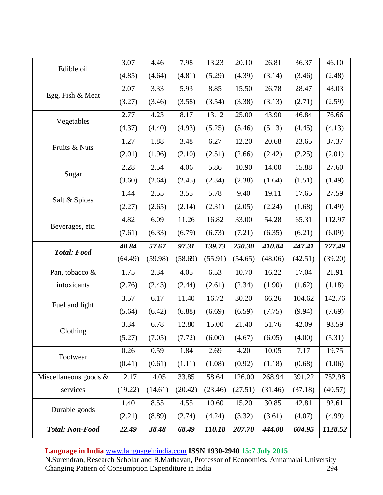| Edible oil               | 3.07    | 4.46    | 7.98    | 13.23   | 20.10   | 26.81   | 36.37   | 46.10   |
|--------------------------|---------|---------|---------|---------|---------|---------|---------|---------|
|                          | (4.85)  | (4.64)  | (4.81)  | (5.29)  | (4.39)  | (3.14)  | (3.46)  | (2.48)  |
| Egg, Fish & Meat         | 2.07    | 3.33    | 5.93    | 8.85    | 15.50   | 26.78   | 28.47   | 48.03   |
|                          | (3.27)  | (3.46)  | (3.58)  | (3.54)  | (3.38)  | (3.13)  | (2.71)  | (2.59)  |
| Vegetables               | 2.77    | 4.23    | 8.17    | 13.12   | 25.00   | 43.90   | 46.84   | 76.66   |
|                          | (4.37)  | (4.40)  | (4.93)  | (5.25)  | (5.46)  | (5.13)  | (4.45)  | (4.13)  |
| Fruits & Nuts            | 1.27    | 1.88    | 3.48    | 6.27    | 12.20   | 20.68   | 23.65   | 37.37   |
|                          | (2.01)  | (1.96)  | (2.10)  | (2.51)  | (2.66)  | (2.42)  | (2.25)  | (2.01)  |
| Sugar                    | 2.28    | 2.54    | 4.06    | 5.86    | 10.90   | 14.00   | 15.88   | 27.60   |
|                          | (3.60)  | (2.64)  | (2.45)  | (2.34)  | (2.38)  | (1.64)  | (1.51)  | (1.49)  |
|                          | 1.44    | 2.55    | 3.55    | 5.78    | 9.40    | 19.11   | 17.65   | 27.59   |
| Salt & Spices            | (2.27)  | (2.65)  | (2.14)  | (2.31)  | (2.05)  | (2.24)  | (1.68)  | (1.49)  |
|                          | 4.82    | 6.09    | 11.26   | 16.82   | 33.00   | 54.28   | 65.31   | 112.97  |
| Beverages, etc.          | (7.61)  | (6.33)  | (6.79)  | (6.73)  | (7.21)  | (6.35)  | (6.21)  | (6.09)  |
|                          | 40.84   | 57.67   | 97.31   | 139.73  | 250.30  | 410.84  | 447.41  | 727.49  |
| <b>Total: Food</b>       | (64.49) | (59.98) | (58.69) | (55.91) | (54.65) | (48.06) | (42.51) | (39.20) |
| Pan, tobacco &           | 1.75    | 2.34    | 4.05    | 6.53    | 10.70   | 16.22   | 17.04   | 21.91   |
| intoxicants              | (2.76)  | (2.43)  | (2.44)  | (2.61)  | (2.34)  | (1.90)  | (1.62)  | (1.18)  |
| Fuel and light           | 3.57    | 6.17    | 11.40   | 16.72   | 30.20   | 66.26   | 104.62  | 142.76  |
|                          | (5.64)  | (6.42)  | (6.88)  | (6.69)  | (6.59)  | (7.75)  | (9.94)  | (7.69)  |
| Clothing                 | 3.34    | 6.78    | 12.80   | 15.00   | 21.40   | 51.76   | 42.09   | 98.59   |
|                          | (5.27)  | (7.05)  | (7.72)  | (6.00)  | (4.67)  | (6.05)  | (4.00)  | (5.31)  |
| Footwear                 | 0.26    | 0.59    | 1.84    | 2.69    | 4.20    | 10.05   | 7.17    | 19.75   |
|                          | (0.41)  | (0.61)  | (1.11)  | (1.08)  | (0.92)  | (1.18)  | (0.68)  | (1.06)  |
| Miscellaneous goods $\&$ | 12.17   | 14.05   | 33.85   | 58.64   | 126.00  | 268.94  | 391.22  | 752.98  |
|                          |         |         |         |         |         |         |         |         |
| services                 | (19.22) | (14.61) | (20.42) | (23.46) | (27.51) | (31.46) | (37.18) | (40.57) |
|                          | 1.40    | 8.55    | 4.55    | 10.60   | 15.20   | 30.85   | 42.81   | 92.61   |
| Durable goods            | (2.21)  | (8.89)  | (2.74)  | (4.24)  | (3.32)  | (3.61)  | (4.07)  | (4.99)  |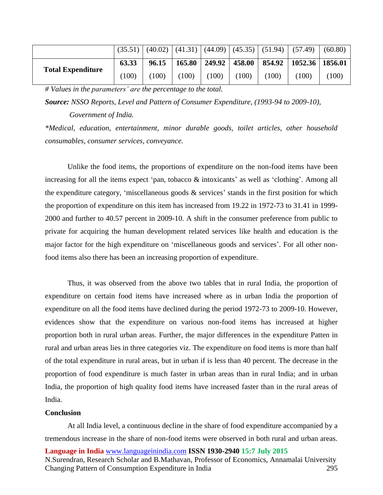|                          | (35.51) |       |        |       |       | $(40.02)$ $(41.31)$ $(44.09)$ $(45.35)$ $(51.94)$ | (57.49)                                      | (60.80) |
|--------------------------|---------|-------|--------|-------|-------|---------------------------------------------------|----------------------------------------------|---------|
| <b>Total Expenditure</b> | 63.33   | 96.15 | 165.80 |       |       |                                                   | 249.92   458.00   854.92   1052.36   1856.01 |         |
|                          | (100)   | 100)  | (100)  | (100) | (100) | (100)                                             | (100)                                        | 100)    |

*# Values in the parameters' are the percentage to the total.* 

*Source: NSSO Reports, Level and Pattern of Consumer Expenditure, (1993-94 to 2009-10),* 

*Government of India.*

*\*Medical, education, entertainment, minor durable goods, toilet articles, other household consumables, consumer services, conveyance.* 

Unlike the food items, the proportions of expenditure on the non-food items have been increasing for all the items expect 'pan, tobacco  $\&$  intoxicants' as well as 'clothing'. Among all the expenditure category, 'miscellaneous goods & services' stands in the first position for which the proportion of expenditure on this item has increased from 19.22 in 1972-73 to 31.41 in 1999- 2000 and further to 40.57 percent in 2009-10. A shift in the consumer preference from public to private for acquiring the human development related services like health and education is the major factor for the high expenditure on 'miscellaneous goods and services'. For all other nonfood items also there has been an increasing proportion of expenditure.

Thus, it was observed from the above two tables that in rural India, the proportion of expenditure on certain food items have increased where as in urban India the proportion of expenditure on all the food items have declined during the period 1972-73 to 2009-10. However, evidences show that the expenditure on various non-food items has increased at higher proportion both in rural urban areas. Further, the major differences in the expenditure Patten in rural and urban areas lies in three categories viz. The expenditure on food items is more than half of the total expenditure in rural areas, but in urban if is less than 40 percent. The decrease in the proportion of food expenditure is much faster in urban areas than in rural India; and in urban India, the proportion of high quality food items have increased faster than in the rural areas of India.

## **Conclusion**

**Language in India** www.languageinindia.com **ISSN 1930-2940 15:7 July 2015** At all India level, a continuous decline in the share of food expenditure accompanied by a tremendous increase in the share of non-food items were observed in both rural and urban areas.

N.Surendran, Research Scholar and B.Mathavan, Professor of Economics, Annamalai University Changing Pattern of Consumption Expenditure in India 295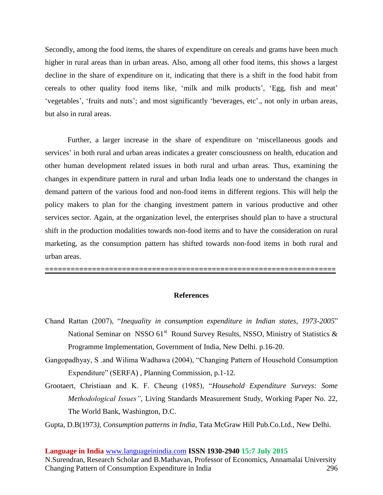Secondly, among the food items, the shares of expenditure on cereals and grams have been much higher in rural areas than in urban areas. Also, among all other food items, this shows a largest decline in the share of expenditure on it, indicating that there is a shift in the food habit from cereals to other quality food items like, 'milk and milk products', 'Egg, fish and meat' 'vegetables', 'fruits and nuts'; and most significantly 'beverages, etc'., not only in urban areas, but also in rural areas.

Further, a larger increase in the share of expenditure on 'miscellaneous goods and services' in both rural and urban areas indicates a greater consciousness on health, education and other human development related issues in both rural and urban areas. Thus, examining the changes in expenditure pattern in rural and urban India leads one to understand the changes in demand pattern of the various food and non-food items in different regions. This will help the policy makers to plan for the changing investment pattern in various productive and other services sector. Again, at the organization level, the enterprises should plan to have a structural shift in the production modalities towards non-food items and to have the consideration on rural marketing, as the consumption pattern has shifted towards non-food items in both rural and urban areas.

#### **References**

**====================================================================**

- Chand Rattan (2007), "*Inequality in consumption expenditure in Indian states, 1973-2005*" National Seminar on NSSO  $61<sup>st</sup>$  Round Survey Results, NSSO, Ministry of Statistics  $\&$ Programme Implementation, Government of India, New Delhi. p.16-20.
- Gangopadhyay, S .and Wilima Wadhawa (2004), "Changing Pattern of Household Consumption Expenditure" (SERFA) , Planning Commission, p.1-12.
- Grootaert, Christiaan and K. F. Cheung (1985), "*Household Expenditure Surveys: Some Methodological Issues"*, Living Standards Measurement Study, Working Paper No. 22, The World Bank, Washington, D.C.

Gupta, D.B(1973*), Consumption patterns in India*, Tata McGraw Hill Pub.Co.Ltd., New Delhi.